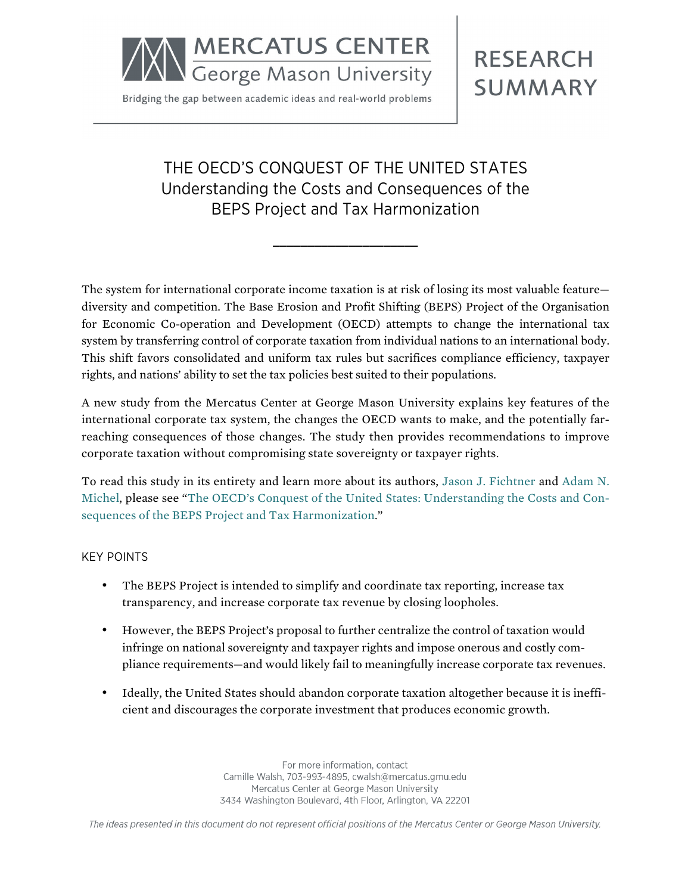

Bridging the gap between academic ideas and real-world problems

**RESEARCH SUMMARY** 

# THE OECD'S CONQUEST OF THE UNITED STATES Understanding the Costs and Consequences of the BEPS Project and Tax Harmonization

**\_\_\_\_\_\_\_\_\_\_\_\_\_\_\_\_\_\_\_\_\_**

The system for international corporate income taxation is at risk of losing its most valuable feature diversity and competition. The Base Erosion and Profit Shifting (BEPS) Project of the Organisation for Economic Co-operation and Development (OECD) attempts to change the international tax system by transferring control of corporate taxation from individual nations to an international body. This shift favors consolidated and uniform tax rules but sacrifices compliance efficiency, taxpayer rights, and nations' ability to set the tax policies best suited to their populations.

A new study from the Mercatus Center at George Mason University explains key features of the international corporate tax system, the changes the OECD wants to make, and the potentially farreaching consequences of those changes. The study then provides recommendations to improve corporate taxation without compromising state sovereignty or taxpayer rights.

To read this study in its entirety and learn more about its authors, [Jason J. Fichtner](http://mercatus.org/jason-j-fichtner) and [Adam N.](http://mercatus.org/adam-michel) [Michel,](http://mercatus.org/adam-michel) please see ["The OECD's Conquest of the United States: Understanding the Costs and Con](http://mercatus.org/publication/oecd-beps-project-tax-harmonization-consequences)[sequences of the BEPS Project](http://mercatus.org/publication/oecd-beps-project-tax-harmonization-consequences) and Tax Harmonization."

#### KEY POINTS

- The BEPS Project is intended to simplify and coordinate tax reporting, increase tax transparency, and increase corporate tax revenue by closing loopholes.
- However, the BEPS Project's proposal to further centralize the control of taxation would infringe on national sovereignty and taxpayer rights and impose onerous and costly compliance requirements—and would likely fail to meaningfully increase corporate tax revenues.
- Ideally, the United States should abandon corporate taxation altogether because it is inefficient and discourages the corporate investment that produces economic growth.

For more information, contact Camille Walsh, 703-993-4895, cwalsh@mercatus.gmu.edu Mercatus Center at George Mason University 3434 Washington Boulevard, 4th Floor, Arlington, VA 22201

The ideas presented in this document do not represent official positions of the Mercatus Center or George Mason University.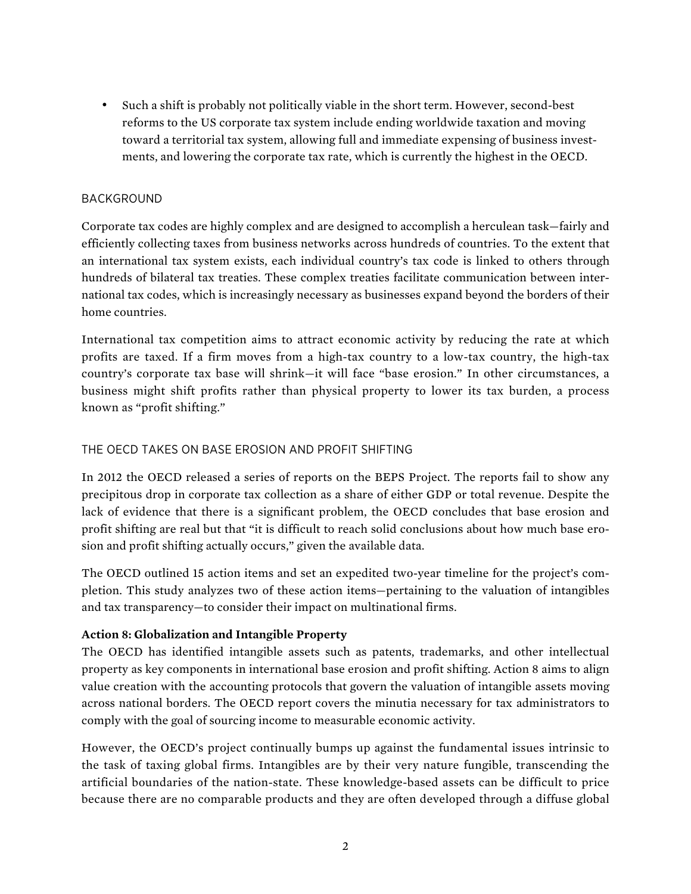• Such a shift is probably not politically viable in the short term. However, second-best reforms to the US corporate tax system include ending worldwide taxation and moving toward a territorial tax system, allowing full and immediate expensing of business investments, and lowering the corporate tax rate, which is currently the highest in the OECD.

## BACKGROUND

Corporate tax codes are highly complex and are designed to accomplish a herculean task—fairly and efficiently collecting taxes from business networks across hundreds of countries. To the extent that an international tax system exists, each individual country's tax code is linked to others through hundreds of bilateral tax treaties. These complex treaties facilitate communication between international tax codes, which is increasingly necessary as businesses expand beyond the borders of their home countries.

International tax competition aims to attract economic activity by reducing the rate at which profits are taxed. If a firm moves from a high-tax country to a low-tax country, the high-tax country's corporate tax base will shrink—it will face "base erosion." In other circumstances, a business might shift profits rather than physical property to lower its tax burden, a process known as "profit shifting."

## THE OECD TAKES ON BASE EROSION AND PROFIT SHIFTING

In 2012 the OECD released a series of reports on the BEPS Project. The reports fail to show any precipitous drop in corporate tax collection as a share of either GDP or total revenue. Despite the lack of evidence that there is a significant problem, the OECD concludes that base erosion and profit shifting are real but that "it is difficult to reach solid conclusions about how much base erosion and profit shifting actually occurs," given the available data.

The OECD outlined 15 action items and set an expedited two-year timeline for the project's completion. This study analyzes two of these action items—pertaining to the valuation of intangibles and tax transparency—to consider their impact on multinational firms.

#### **Action 8: Globalization and Intangible Property**

The OECD has identified intangible assets such as patents, trademarks, and other intellectual property as key components in international base erosion and profit shifting. Action 8 aims to align value creation with the accounting protocols that govern the valuation of intangible assets moving across national borders. The OECD report covers the minutia necessary for tax administrators to comply with the goal of sourcing income to measurable economic activity.

However, the OECD's project continually bumps up against the fundamental issues intrinsic to the task of taxing global firms. Intangibles are by their very nature fungible, transcending the artificial boundaries of the nation-state. These knowledge-based assets can be difficult to price because there are no comparable products and they are often developed through a diffuse global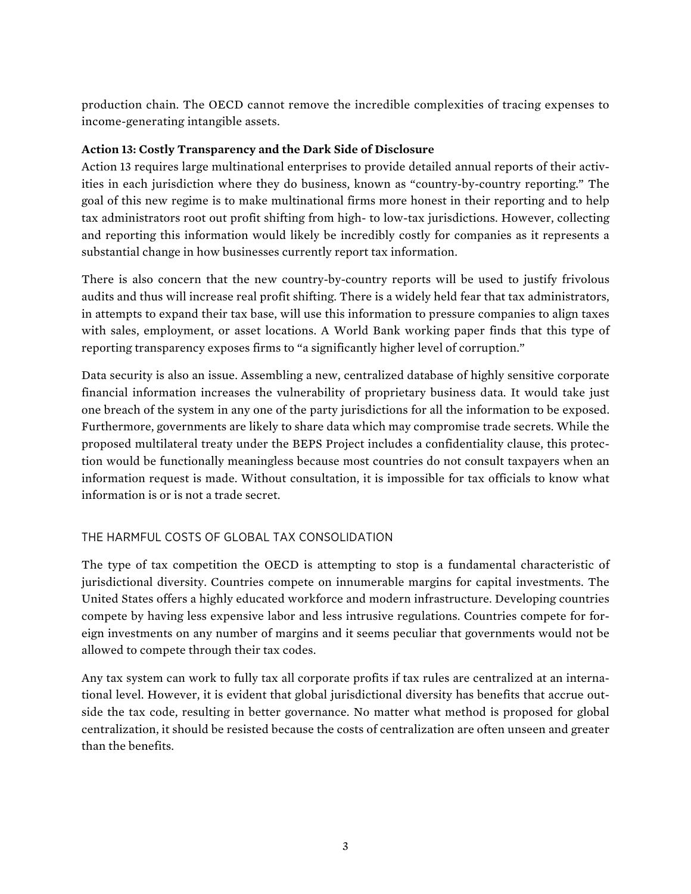production chain. The OECD cannot remove the incredible complexities of tracing expenses to income-generating intangible assets.

## **Action 13: Costly Transparency and the Dark Side of Disclosure**

Action 13 requires large multinational enterprises to provide detailed annual reports of their activities in each jurisdiction where they do business, known as "country-by-country reporting." The goal of this new regime is to make multinational firms more honest in their reporting and to help tax administrators root out profit shifting from high- to low-tax jurisdictions. However, collecting and reporting this information would likely be incredibly costly for companies as it represents a substantial change in how businesses currently report tax information.

There is also concern that the new country-by-country reports will be used to justify frivolous audits and thus will increase real profit shifting. There is a widely held fear that tax administrators, in attempts to expand their tax base, will use this information to pressure companies to align taxes with sales, employment, or asset locations. A World Bank working paper finds that this type of reporting transparency exposes firms to "a significantly higher level of corruption."

Data security is also an issue. Assembling a new, centralized database of highly sensitive corporate financial information increases the vulnerability of proprietary business data. It would take just one breach of the system in any one of the party jurisdictions for all the information to be exposed. Furthermore, governments are likely to share data which may compromise trade secrets. While the proposed multilateral treaty under the BEPS Project includes a confidentiality clause, this protection would be functionally meaningless because most countries do not consult taxpayers when an information request is made. Without consultation, it is impossible for tax officials to know what information is or is not a trade secret.

# THE HARMFUL COSTS OF GLOBAL TAX CONSOLIDATION

The type of tax competition the OECD is attempting to stop is a fundamental characteristic of jurisdictional diversity. Countries compete on innumerable margins for capital investments. The United States offers a highly educated workforce and modern infrastructure. Developing countries compete by having less expensive labor and less intrusive regulations. Countries compete for foreign investments on any number of margins and it seems peculiar that governments would not be allowed to compete through their tax codes.

Any tax system can work to fully tax all corporate profits if tax rules are centralized at an international level. However, it is evident that global jurisdictional diversity has benefits that accrue outside the tax code, resulting in better governance. No matter what method is proposed for global centralization, it should be resisted because the costs of centralization are often unseen and greater than the benefits.